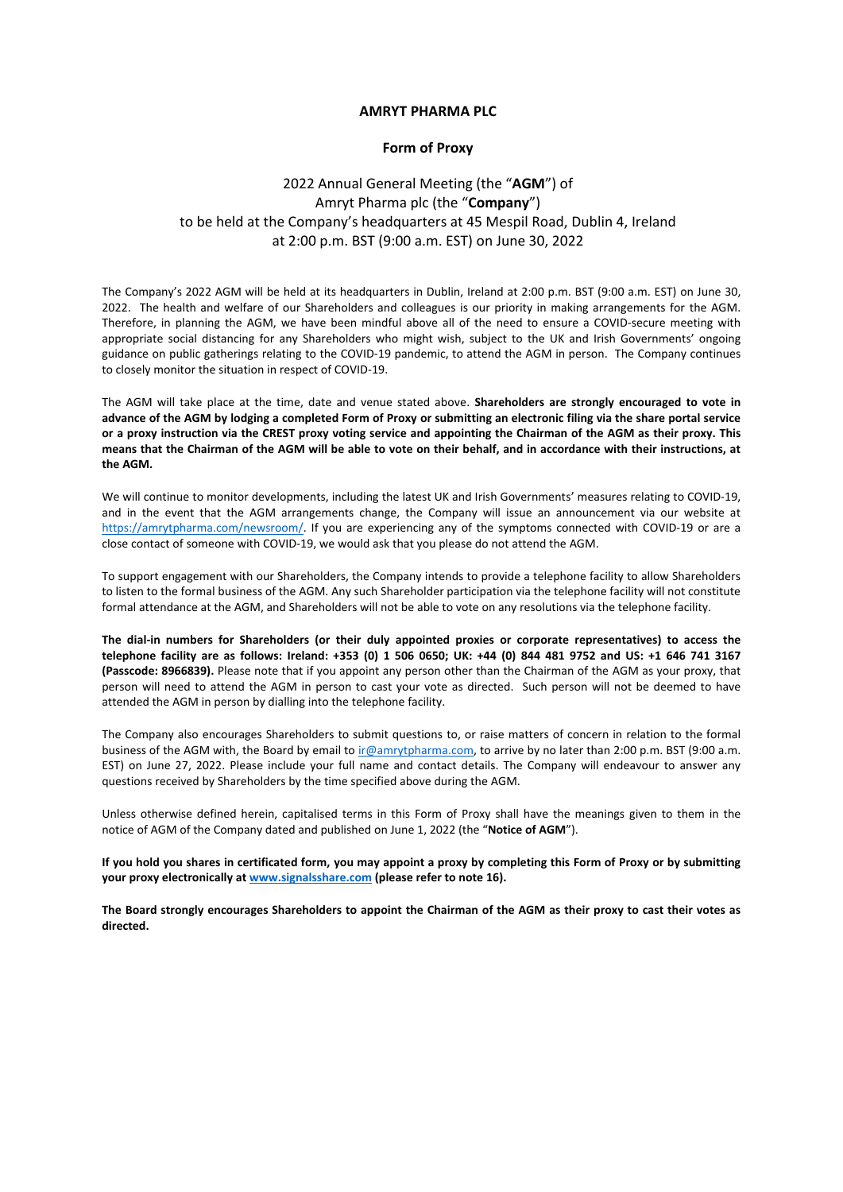# **AMRYT PHARMA PLC**

# **Form of Proxy**

# 2022 Annual General Meeting (the "**AGM**") of Amryt Pharma plc (the "**Company**") to be held at the Company's headquarters at 45 Mespil Road, Dublin 4, Ireland at 2:00 p.m. BST (9:00 a.m. EST) on June 30, 2022

The Company's 2022 AGM will be held at its headquarters in Dublin, Ireland at 2:00 p.m. BST (9:00 a.m. EST) on June 30, 2022. The health and welfare of our Shareholders and colleagues is our priority in making arrangements for the AGM. Therefore, in planning the AGM, we have been mindful above all of the need to ensure a COVID-secure meeting with appropriate social distancing for any Shareholders who might wish, subject to the UK and Irish Governments' ongoing guidance on public gatherings relating to the COVID-19 pandemic, to attend the AGM in person. The Company continues to closely monitor the situation in respect of COVID-19.

The AGM will take place at the time, date and venue stated above. **Shareholders are strongly encouraged to vote in advance of the AGM by lodging a completed Form of Proxy or submitting an electronic filing via the share portal service or a proxy instruction via the CREST proxy voting service and appointing the Chairman of the AGM as their proxy. This means that the Chairman of the AGM will be able to vote on their behalf, and in accordance with their instructions, at the AGM.**

We will continue to monitor developments, including the latest UK and Irish Governments' measures relating to COVID-19, and in the event that the AGM arrangements change, the Company will issue an announcement via our website at [https://amrytpharma.com/newsroom/.](https://amrytpharma.com/newsroom/) If you are experiencing any of the symptoms connected with COVID-19 or are a close contact of someone with COVID-19, we would ask that you please do not attend the AGM.

To support engagement with our Shareholders, the Company intends to provide a telephone facility to allow Shareholders to listen to the formal business of the AGM. Any such Shareholder participation via the telephone facility will not constitute formal attendance at the AGM, and Shareholders will not be able to vote on any resolutions via the telephone facility.

**The dial-in numbers for Shareholders (or their duly appointed proxies or corporate representatives) to access the telephone facility are as follows: Ireland: +353 (0) 1 506 0650; UK: +44 (0) 844 481 9752 and US: +1 646 741 3167 (Passcode: 8966839).** Please note that if you appoint any person other than the Chairman of the AGM as your proxy, that person will need to attend the AGM in person to cast your vote as directed. Such person will not be deemed to have attended the AGM in person by dialling into the telephone facility.

The Company also encourages Shareholders to submit questions to, or raise matters of concern in relation to the formal business of the AGM with, the Board by email to [ir@amrytpharma.com,](mailto:agm@amrytpharma.com) to arrive by no later than 2:00 p.m. BST (9:00 a.m. EST) on June 27, 2022. Please include your full name and contact details. The Company will endeavour to answer any questions received by Shareholders by the time specified above during the AGM.

Unless otherwise defined herein, capitalised terms in this Form of Proxy shall have the meanings given to them in the notice of AGM of the Company dated and published on June 1, 2022 (the "**Notice of AGM**").

**If you hold you shares in certificated form, you may appoint a proxy by completing this Form of Proxy or by submitting your proxy electronically at [www.signalsshare.com](http://www.signalsshare.com/) (please refer to note 16).**

**The Board strongly encourages Shareholders to appoint the Chairman of the AGM as their proxy to cast their votes as directed.**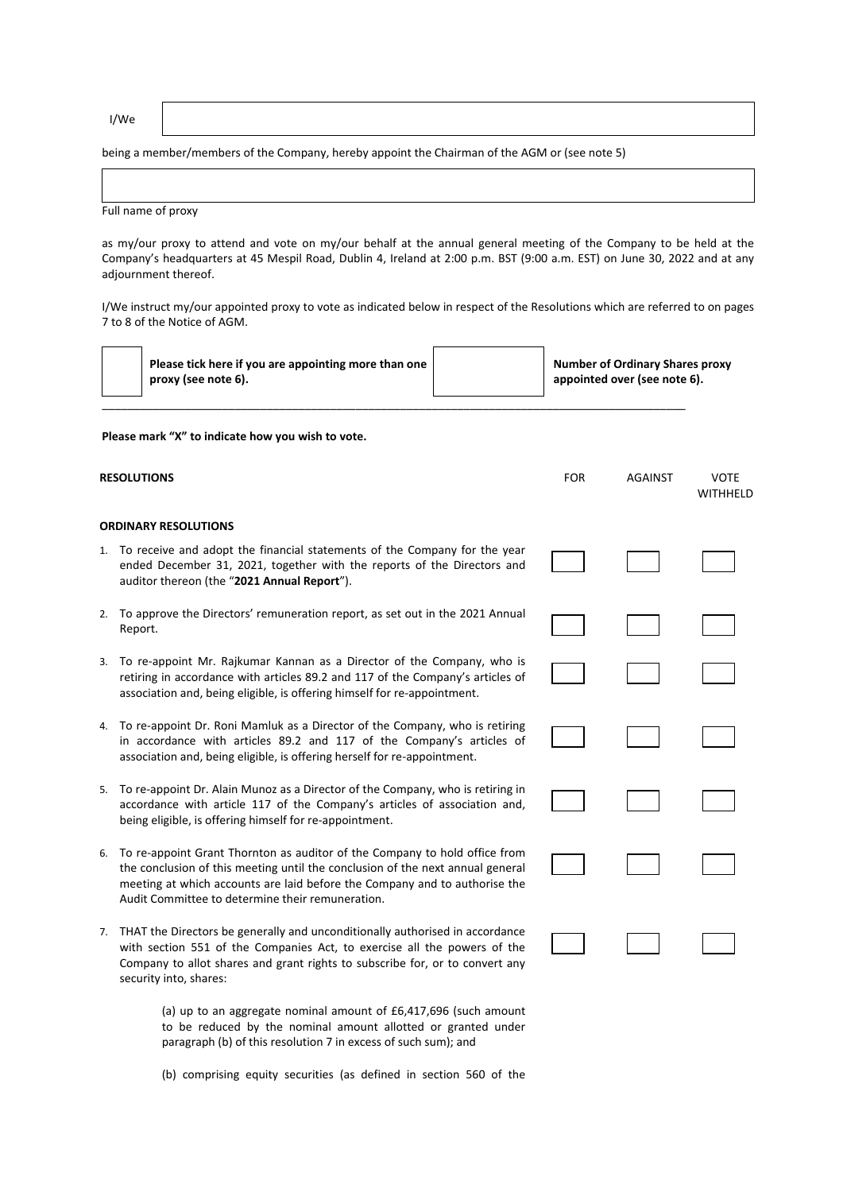I/We

being a member/members of the Company, hereby appoint the Chairman of the AGM or (see note 5)

#### Full name of proxy

as my/our proxy to attend and vote on my/our behalf at the annual general meeting of the Company to be held at the Company's headquarters at 45 Mespil Road, Dublin 4, Ireland at 2:00 p.m. BST (9:00 a.m. EST) on June 30, 2022 and at any adjournment thereof.

I/We instruct my/our appointed proxy to vote as indicated below in respect of the Resolutions which are referred to on pages 7 to 8 of the Notice of AGM.

| Please tick here if you are appointing more than one<br>proxy (see note 6). |  | <b>Number of Ordinary Shares proxy</b><br>appointed over (see note 6). |
|-----------------------------------------------------------------------------|--|------------------------------------------------------------------------|
|-----------------------------------------------------------------------------|--|------------------------------------------------------------------------|

WITHHELD

\_\_\_\_\_\_\_\_\_\_\_\_\_\_\_\_\_\_\_\_\_\_\_\_\_\_\_\_\_\_\_\_\_\_\_\_\_\_\_\_\_\_\_\_\_\_\_\_\_\_\_\_\_\_\_\_\_\_\_\_\_\_\_\_\_\_\_\_\_\_\_\_\_\_\_\_\_\_\_\_\_\_\_\_\_\_\_\_\_\_\_\_

**Please mark "X" to indicate how you wish to vote.**

#### **RESOLUTIONS** VOTE

## **ORDINARY RESOLUTIONS**

- 1. To receive and adopt the financial statements of the Company for the year ended December 31, 2021, together with the reports of the Directors and auditor thereon (the "**2021 Annual Report**").
- 2. To approve the Directors' remuneration report, as set out in the 2021 Annual Report.
- 3. To re-appoint Mr. Rajkumar Kannan as a Director of the Company, who is retiring in accordance with articles 89.2 and 117 of the Company's articles of association and, being eligible, is offering himself for re-appointment.
- 4. To re-appoint Dr. Roni Mamluk as a Director of the Company, who is retiring in accordance with articles 89.2 and 117 of the Company's articles of association and, being eligible, is offering herself for re-appointment.
- 5. To re-appoint Dr. Alain Munoz as a Director of the Company, who is retiring in accordance with article 117 of the Company's articles of association and, being eligible, is offering himself for re-appointment.
- 6. To re-appoint Grant Thornton as auditor of the Company to hold office from the conclusion of this meeting until the conclusion of the next annual general meeting at which accounts are laid before the Company and to authorise the Audit Committee to determine their remuneration.
- 7. THAT the Directors be generally and unconditionally authorised in accordance with section 551 of the Companies Act, to exercise all the powers of the Company to allot shares and grant rights to subscribe for, or to convert any security into, shares:

(a) up to an aggregate nominal amount of £6,417,696 (such amount to be reduced by the nominal amount allotted or granted under paragraph (b) of this resolution 7 in excess of such sum); and

(b) comprising equity securities (as defined in section 560 of the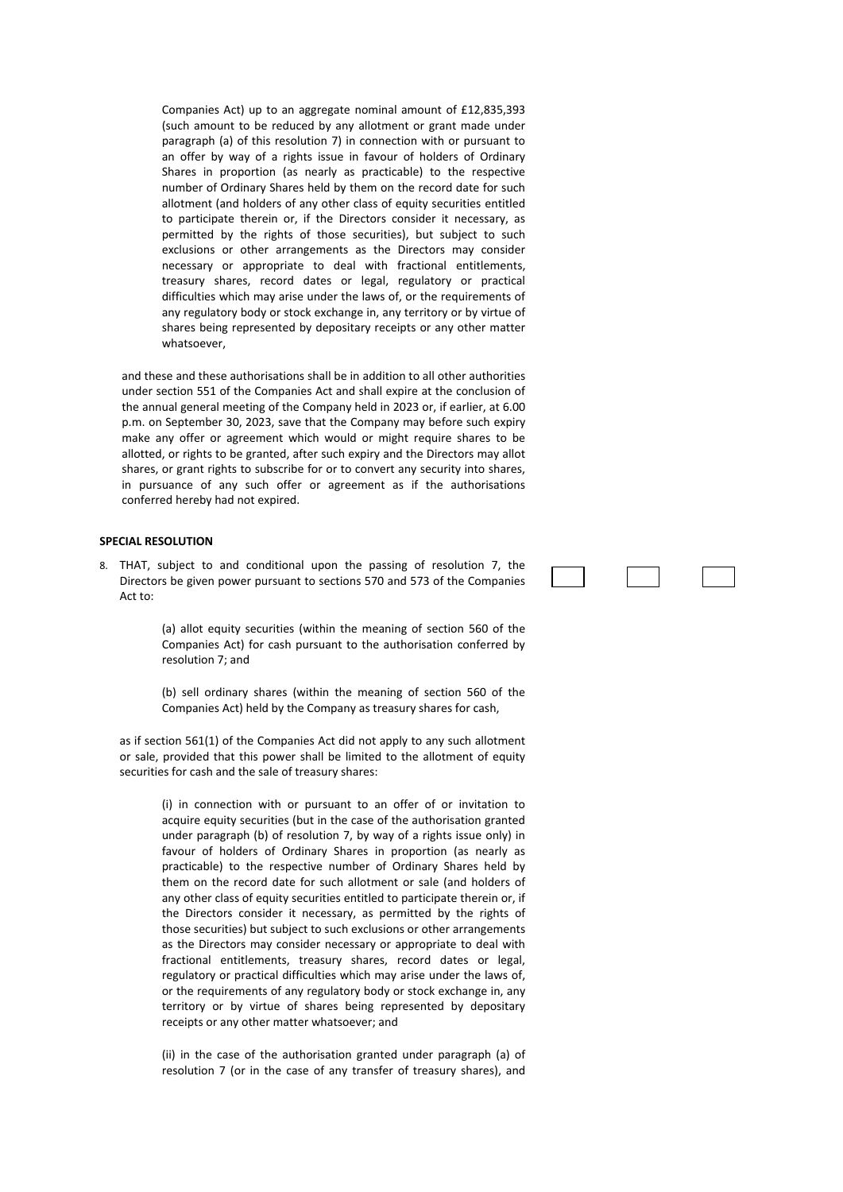Companies Act) up to an aggregate nominal amount of £12,835,393 (such amount to be reduced by any allotment or grant made under paragraph (a) of this resolution 7) in connection with or pursuant to an offer by way of a rights issue in favour of holders of Ordinary Shares in proportion (as nearly as practicable) to the respective number of Ordinary Shares held by them on the record date for such allotment (and holders of any other class of equity securities entitled to participate therein or, if the Directors consider it necessary, as permitted by the rights of those securities), but subject to such exclusions or other arrangements as the Directors may consider necessary or appropriate to deal with fractional entitlements, treasury shares, record dates or legal, regulatory or practical difficulties which may arise under the laws of, or the requirements of any regulatory body or stock exchange in, any territory or by virtue of shares being represented by depositary receipts or any other matter whatsoever

and these and these authorisations shall be in addition to all other authorities under section 551 of the Companies Act and shall expire at the conclusion of the annual general meeting of the Company held in 2023 or, if earlier, at 6.00 p.m. on September 30, 2023, save that the Company may before such expiry make any offer or agreement which would or might require shares to be allotted, or rights to be granted, after such expiry and the Directors may allot shares, or grant rights to subscribe for or to convert any security into shares, in pursuance of any such offer or agreement as if the authorisations conferred hereby had not expired.

### **SPECIAL RESOLUTION**

8. THAT, subject to and conditional upon the passing of resolution 7, the Directors be given power pursuant to sections 570 and 573 of the Companies Act to:

> (a) allot equity securities (within the meaning of section 560 of the Companies Act) for cash pursuant to the authorisation conferred by resolution 7; and

> (b) sell ordinary shares (within the meaning of section 560 of the Companies Act) held by the Company as treasury shares for cash,

as if section 561(1) of the Companies Act did not apply to any such allotment or sale, provided that this power shall be limited to the allotment of equity securities for cash and the sale of treasury shares:

> (i) in connection with or pursuant to an offer of or invitation to acquire equity securities (but in the case of the authorisation granted under paragraph (b) of resolution 7, by way of a rights issue only) in favour of holders of Ordinary Shares in proportion (as nearly as practicable) to the respective number of Ordinary Shares held by them on the record date for such allotment or sale (and holders of any other class of equity securities entitled to participate therein or, if the Directors consider it necessary, as permitted by the rights of those securities) but subject to such exclusions or other arrangements as the Directors may consider necessary or appropriate to deal with fractional entitlements, treasury shares, record dates or legal, regulatory or practical difficulties which may arise under the laws of, or the requirements of any regulatory body or stock exchange in, any territory or by virtue of shares being represented by depositary receipts or any other matter whatsoever; and

> (ii) in the case of the authorisation granted under paragraph (a) of resolution 7 (or in the case of any transfer of treasury shares), and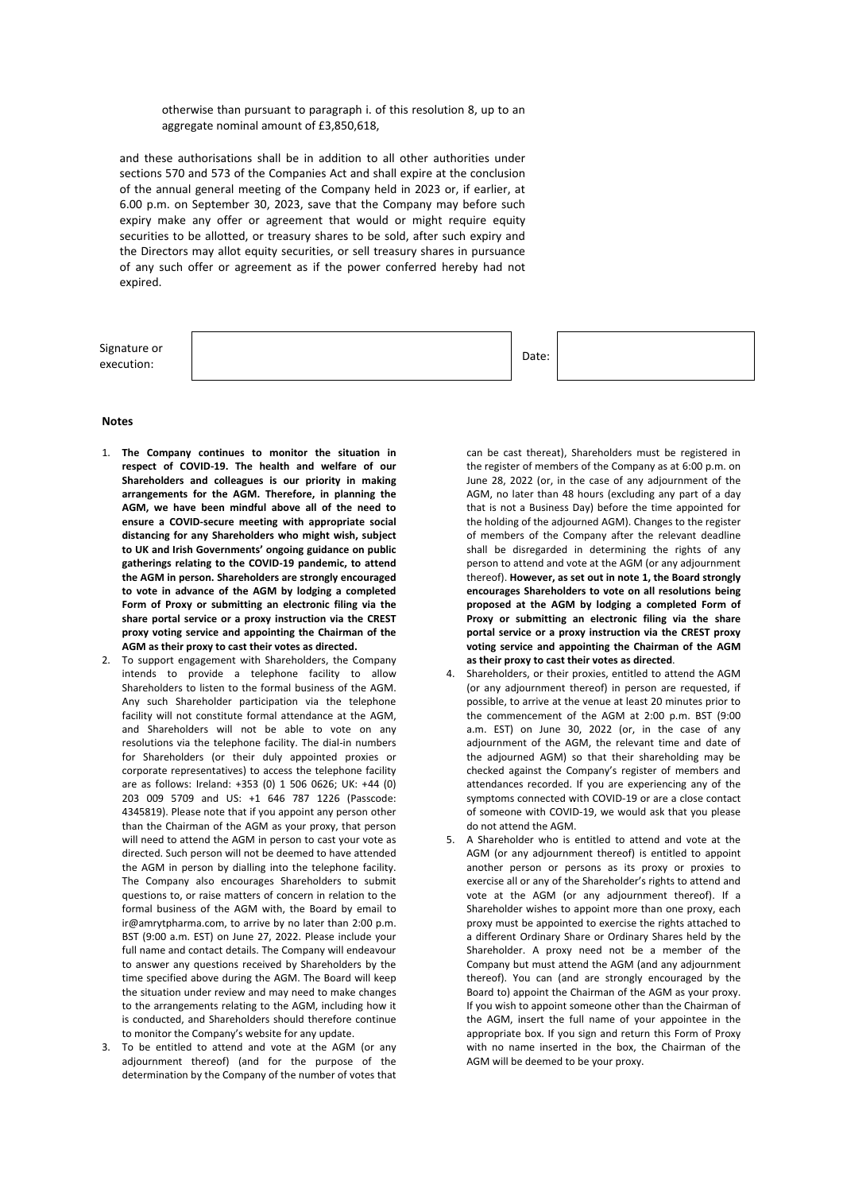otherwise than pursuant to paragraph i. of this resolution 8, up to an aggregate nominal amount of £3,850,618,

and these authorisations shall be in addition to all other authorities under sections 570 and 573 of the Companies Act and shall expire at the conclusion of the annual general meeting of the Company held in 2023 or, if earlier, at 6.00 p.m. on September 30, 2023, save that the Company may before such expiry make any offer or agreement that would or might require equity securities to be allotted, or treasury shares to be sold, after such expiry and the Directors may allot equity securities, or sell treasury shares in pursuance of any such offer or agreement as if the power conferred hereby had not expired.

Signature or  $\begin{array}{|c|c|c|c|c|}\n \hline\n \text{e}}\n \text{p}}\n \text{p}}\n \text{p}}\n \text{p}}\n \text{p}}\n \text{p}}\n \text{p}}\n \text{p}}\n \text{p}}\n \text{p}}\n \text{p}}\n \text{p}}\n \text{p}}\n \text{p}}\n \text{p}}\n \text{p}}\n \text{p}}\n \text{p}}\n \text{p}}\n \text{p}}\n \text{p}}\n \text{p}}\n \text{p}}\n \text{p}}\n \text{p}}\n \text{p}}\n \text{p}}\n \text$ 

#### **Notes**

- 1. **The Company continues to monitor the situation in respect of COVID-19. The health and welfare of our Shareholders and colleagues is our priority in making arrangements for the AGM. Therefore, in planning the AGM, we have been mindful above all of the need to ensure a COVID-secure meeting with appropriate social distancing for any Shareholders who might wish, subject to UK and Irish Governments' ongoing guidance on public gatherings relating to the COVID-19 pandemic, to attend the AGM in person. Shareholders are strongly encouraged to vote in advance of the AGM by lodging a completed Form of Proxy or submitting an electronic filing via the share portal service or a proxy instruction via the CREST proxy voting service and appointing the Chairman of the AGM as their proxy to cast their votes as directed.**
- 2. To support engagement with Shareholders, the Company intends to provide a telephone facility to allow Shareholders to listen to the formal business of the AGM. Any such Shareholder participation via the telephone facility will not constitute formal attendance at the AGM, and Shareholders will not be able to vote on any resolutions via the telephone facility. The dial-in numbers for Shareholders (or their duly appointed proxies or corporate representatives) to access the telephone facility are as follows: Ireland: +353 (0) 1 506 0626; UK: +44 (0) 203 009 5709 and US: +1 646 787 1226 (Passcode: 4345819). Please note that if you appoint any person other than the Chairman of the AGM as your proxy, that person will need to attend the AGM in person to cast your vote as directed. Such person will not be deemed to have attended the AGM in person by dialling into the telephone facility. The Company also encourages Shareholders to submit questions to, or raise matters of concern in relation to the formal business of the AGM with, the Board by email to ir@amrytpharma.com, to arrive by no later than 2:00 p.m. BST (9:00 a.m. EST) on June 27, 2022. Please include your full name and contact details. The Company will endeavour to answer any questions received by Shareholders by the time specified above during the AGM. The Board will keep the situation under review and may need to make changes to the arrangements relating to the AGM, including how it is conducted, and Shareholders should therefore continue to monitor the Company's website for any update.
- 3. To be entitled to attend and vote at the AGM (or any adjournment thereof) (and for the purpose of the determination by the Company of the number of votes that

can be cast thereat), Shareholders must be registered in the register of members of the Company as at 6:00 p.m. on June 28, 2022 (or, in the case of any adjournment of the AGM, no later than 48 hours (excluding any part of a day that is not a Business Day) before the time appointed for the holding of the adjourned AGM). Changes to the register of members of the Company after the relevant deadline shall be disregarded in determining the rights of any person to attend and vote at the AGM (or any adjournment thereof). **However, as set out in note 1, the Board strongly encourages Shareholders to vote on all resolutions being proposed at the AGM by lodging a completed Form of Proxy or submitting an electronic filing via the share portal service or a proxy instruction via the CREST proxy voting service and appointing the Chairman of the AGM as their proxy to cast their votes as directed**.

- 4. Shareholders, or their proxies, entitled to attend the AGM (or any adjournment thereof) in person are requested, if possible, to arrive at the venue at least 20 minutes prior to the commencement of the AGM at 2:00 p.m. BST (9:00 a.m. EST) on June 30, 2022 (or, in the case of any adjournment of the AGM, the relevant time and date of the adjourned AGM) so that their shareholding may be checked against the Company's register of members and attendances recorded. If you are experiencing any of the symptoms connected with COVID-19 or are a close contact of someone with COVID-19, we would ask that you please do not attend the AGM.
- 5. A Shareholder who is entitled to attend and vote at the AGM (or any adjournment thereof) is entitled to appoint another person or persons as its proxy or proxies to exercise all or any of the Shareholder's rights to attend and vote at the AGM (or any adjournment thereof). If a Shareholder wishes to appoint more than one proxy, each proxy must be appointed to exercise the rights attached to a different Ordinary Share or Ordinary Shares held by the Shareholder. A proxy need not be a member of the Company but must attend the AGM (and any adjournment thereof). You can (and are strongly encouraged by the Board to) appoint the Chairman of the AGM as your proxy. If you wish to appoint someone other than the Chairman of the AGM, insert the full name of your appointee in the appropriate box. If you sign and return this Form of Proxy with no name inserted in the box, the Chairman of the AGM will be deemed to be your proxy.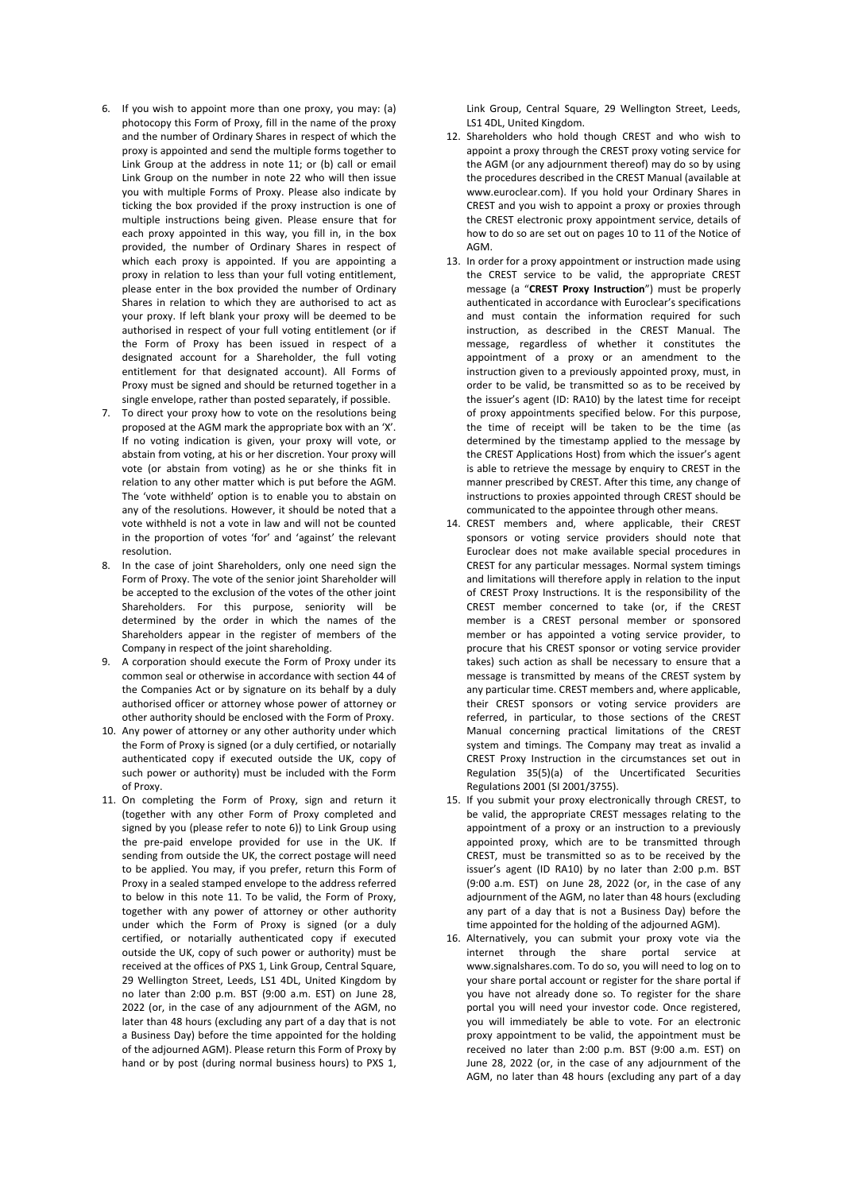- <span id="page-4-0"></span>6. If you wish to appoint more than one proxy, you may: (a) photocopy this Form of Proxy, fill in the name of the proxy and the number of Ordinary Shares in respect of which the proxy is appointed and send the multiple forms together to Link Group at the address in note 11; or (b) call or email Link Group on the number in note 22 who will then issue you with multiple Forms of Proxy. Please also indicate by ticking the box provided if the proxy instruction is one of multiple instructions being given. Please ensure that for each proxy appointed in this way, you fill in, in the box provided, the number of Ordinary Shares in respect of which each proxy is appointed. If you are appointing a proxy in relation to less than your full voting entitlement, please enter in the box provided the number of Ordinary Shares in relation to which they are authorised to act as your proxy. If left blank your proxy will be deemed to be authorised in respect of your full voting entitlement (or if the Form of Proxy has been issued in respect of a designated account for a Shareholder, the full voting entitlement for that designated account). All Forms of Proxy must be signed and should be returned together in a single envelope, rather than posted separately, if possible.
- 7. To direct your proxy how to vote on the resolutions being proposed at the AGM mark the appropriate box with an 'X'. If no voting indication is given, your proxy will vote, or abstain from voting, at his or her discretion. Your proxy will vote (or abstain from voting) as he or she thinks fit in relation to any other matter which is put before the AGM. The 'vote withheld' option is to enable you to abstain on any of the resolutions. However, it should be noted that a vote withheld is not a vote in law and will not be counted in the proportion of votes 'for' and 'against' the relevant resolution.
- 8. In the case of joint Shareholders, only one need sign the Form of Proxy. The vote of the senior joint Shareholder will be accepted to the exclusion of the votes of the other joint Shareholders. For this purpose, seniority will be determined by the order in which the names of the Shareholders appear in the register of members of the Company in respect of the joint shareholding.
- 9. A corporation should execute the Form of Proxy under its common seal or otherwise in accordance with section 44 of the Companies Act or by signature on its behalf by a duly authorised officer or attorney whose power of attorney or other authority should be enclosed with the Form of Proxy.
- 10. Any power of attorney or any other authority under which the Form of Proxy is signed (or a duly certified, or notarially authenticated copy if executed outside the UK, copy of such power or authority) must be included with the Form of Proxy.
- 11. On completing the Form of Proxy, sign and return it (together with any other Form of Proxy completed and signed by you (please refer to not[e 6\)\)](#page-4-0) to Link Group using the pre-paid envelope provided for use in the UK. If sending from outside the UK, the correct postage will need to be applied. You may, if you prefer, return this Form of Proxy in a sealed stamped envelope to the address referred to below in this note 11. To be valid, the Form of Proxy, together with any power of attorney or other authority under which the Form of Proxy is signed (or a duly certified, or notarially authenticated copy if executed outside the UK, copy of such power or authority) must be received at the offices of PXS 1, Link Group, Central Square, 29 Wellington Street, Leeds, LS1 4DL, United Kingdom by no later than 2:00 p.m. BST (9:00 a.m. EST) on June 28, 2022 (or, in the case of any adjournment of the AGM, no later than 48 hours (excluding any part of a day that is not a Business Day) before the time appointed for the holding of the adjourned AGM). Please return this Form of Proxy by hand or by post (during normal business hours) to PXS 1,

Link Group, Central Square, 29 Wellington Street, Leeds, LS1 4DL, United Kingdom.

- 12. Shareholders who hold though CREST and who wish to appoint a proxy through the CREST proxy voting service for the AGM (or any adjournment thereof) may do so by using the procedures described in the CREST Manual (available at www.euroclear.com). If you hold your Ordinary Shares in CREST and you wish to appoint a proxy or proxies through the CREST electronic proxy appointment service, details of how to do so are set out on pages 10 to 11 of the Notice of AGM.
- 13. In order for a proxy appointment or instruction made using the CREST service to be valid, the appropriate CREST message (a "**CREST Proxy Instruction**") must be properly authenticated in accordance with Euroclear's specifications and must contain the information required for such instruction, as described in the CREST Manual. The message, regardless of whether it constitutes the appointment of a proxy or an amendment to the instruction given to a previously appointed proxy, must, in order to be valid, be transmitted so as to be received by the issuer's agent (ID: RA10) by the latest time for receipt of proxy appointments specified below. For this purpose, the time of receipt will be taken to be the time (as determined by the timestamp applied to the message by the CREST Applications Host) from which the issuer's agent is able to retrieve the message by enquiry to CREST in the manner prescribed by CREST. After this time, any change of instructions to proxies appointed through CREST should be communicated to the appointee through other means.
- 14. CREST members and, where applicable, their CREST sponsors or voting service providers should note that Euroclear does not make available special procedures in CREST for any particular messages. Normal system timings and limitations will therefore apply in relation to the input of CREST Proxy Instructions. It is the responsibility of the CREST member concerned to take (or, if the CREST member is a CREST personal member or sponsored member or has appointed a voting service provider, to procure that his CREST sponsor or voting service provider takes) such action as shall be necessary to ensure that a message is transmitted by means of the CREST system by any particular time. CREST members and, where applicable, their CREST sponsors or voting service providers are referred, in particular, to those sections of the CREST Manual concerning practical limitations of the CREST system and timings. The Company may treat as invalid a CREST Proxy Instruction in the circumstances set out in Regulation 35(5)(a) of the Uncertificated Securities Regulations 2001 (SI 2001/3755).
- 15. If you submit your proxy electronically through CREST, to be valid, the appropriate CREST messages relating to the appointment of a proxy or an instruction to a previously appointed proxy, which are to be transmitted through CREST, must be transmitted so as to be received by the issuer's agent (ID RA10) by no later than 2:00 p.m. BST (9:00 a.m. EST) on June 28, 2022 (or, in the case of any adjournment of the AGM, no later than 48 hours (excluding any part of a day that is not a Business Day) before the time appointed for the holding of the adjourned AGM).
- 16. Alternatively, you can submit your proxy vote via the internet through the share portal service at www.signalshares.com. To do so, you will need to log on to your share portal account or register for the share portal if you have not already done so. To register for the share portal you will need your investor code. Once registered, you will immediately be able to vote. For an electronic proxy appointment to be valid, the appointment must be received no later than 2:00 p.m. BST (9:00 a.m. EST) on June 28, 2022 (or, in the case of any adjournment of the AGM, no later than 48 hours (excluding any part of a day